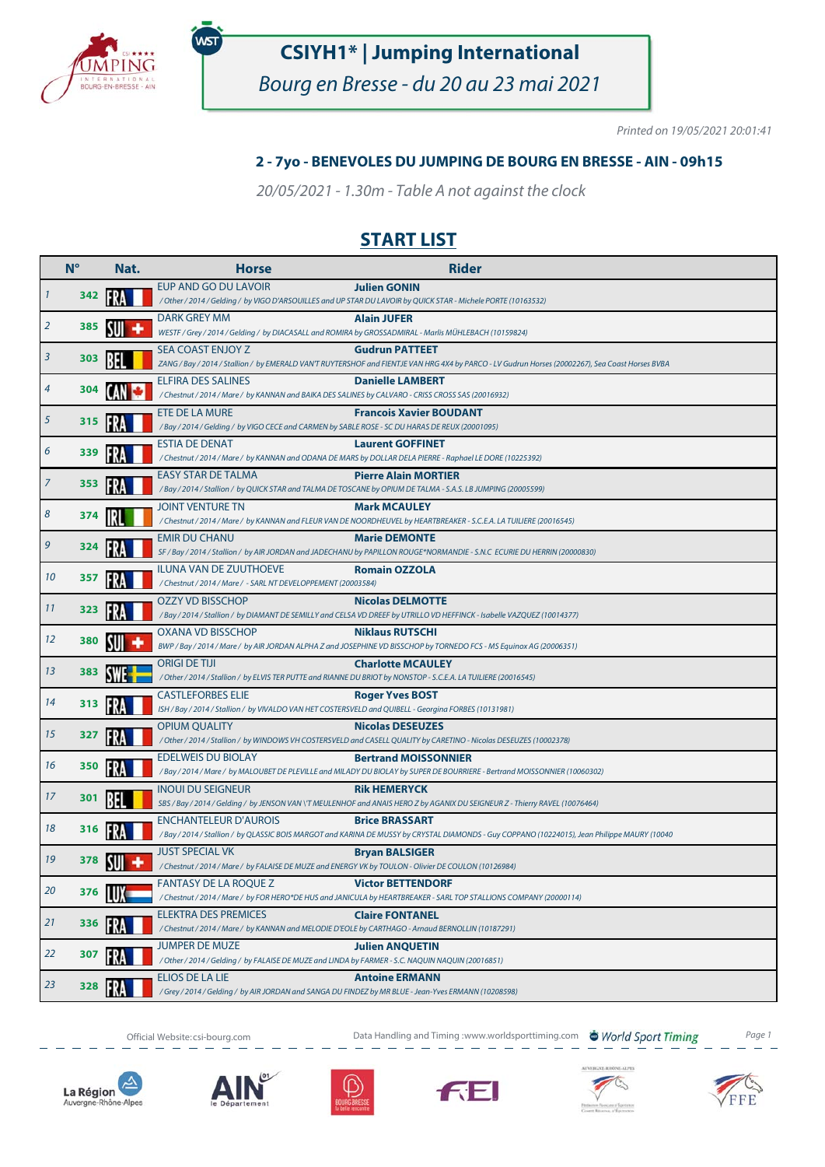

.<br>WST

# **CSIYH1\* | Jumping International**

Bourg en Bresse - du 20 au 23 mai 2021

Printed on 19/05/2021 20:01:41

#### **2 - 7yo - BENEVOLES DU JUMPING DE BOURG EN BRESSE - AIN - 09h15**

20/05/2021 - 1.30m - Table A not against the clock

## **START LIST**

|    | $N^{\circ}$ | Nat. | <b>Horse</b>                                                                                                                      | <b>Rider</b>                                                                                                                                                              |
|----|-------------|------|-----------------------------------------------------------------------------------------------------------------------------------|---------------------------------------------------------------------------------------------------------------------------------------------------------------------------|
|    | 342         |      | EUP AND GO DU LAVOIR                                                                                                              | <b>Julien GONIN</b><br>/ Other / 2014 / Gelding / by VIGO D'ARSOUILLES and UP STAR DU LAVOIR by QUICK STAR - Michele PORTE (10163532)                                     |
| 2  | 385         |      | DARK GREY MM<br>WESTF / Grey / 2014 / Gelding / by DIACASALL and ROMIRA by GROSSADMIRAL - Marlis MÜHLEBACH (10159824)             | <b>Alain JUFER</b>                                                                                                                                                        |
| 3  | 303         |      | SEA COAST ENJOY Z                                                                                                                 | <b>Gudrun PATTEET</b><br>ZANG / Bay / 2014 / Stallion / by EMERALD VAN'T RUYTERSHOF and FIENTJE VAN HRG 4X4 by PARCO - LV Gudrun Horses (20002267), Sea Coast Horses BVBA |
| 4  | 304         |      | <b>ELFIRA DES SALINES</b><br>/ Chestnut / 2014 / Mare / by KANNAN and BAIKA DES SALINES by CALVARO - CRISS CROSS SAS (20016932)   | <b>Danielle LAMBERT</b>                                                                                                                                                   |
| 5  | 315         |      | ETE DE LA MURE<br>/ Bay / 2014 / Gelding / by VIGO CECE and CARMEN by SABLE ROSE - SC DU HARAS DE REUX (20001095)                 | <b>Francois Xavier BOUDANT</b>                                                                                                                                            |
| 6  | 339         |      | <b>ESTIA DE DENAT</b>                                                                                                             | <b>Laurent GOFFINET</b><br>/ Chestnut / 2014 / Mare / by KANNAN and ODANA DE MARS by DOLLAR DELA PIERRE - Raphael LE DORE (10225392)                                      |
| 7  | 353         | ŀК   | <b>EASY STAR DE TALMA</b>                                                                                                         | <b>Pierre Alain MORTIER</b><br>/ Bay / 2014 / Stallion / by QUICK STAR and TALMA DE TOSCANE by OPIUM DE TALMA - S.A.S. LB JUMPING (20005599)                              |
| 8  | 374         |      | <b>JOINT VENTURE TN</b>                                                                                                           | <b>Mark MCAULEY</b><br>/ Chestnut / 2014 / Mare / by KANNAN and FLEUR VAN DE NOORDHEUVEL by HEARTBREAKER - S.C.E.A. LA TUILIERE (20016545)                                |
| 9  | 324         |      | <b>EMIR DU CHANU</b>                                                                                                              | <b>Marie DEMONTE</b><br>SF / Bay / 2014 / Stallion / by AIR JORDAN and JADECHANU by PAPILLON ROUGE*NORMANDIE - S.N.C ECURIE DU HERRIN (20000830)                          |
| 10 | 357         |      | <b>ILUNA VAN DE ZUUTHOEVE</b><br>/Chestnut / 2014 / Mare / - SARL NT DEVELOPPEMENT (20003584)                                     | <b>Romain OZZOLA</b>                                                                                                                                                      |
| 11 | 323         |      | <b>OZZY VD BISSCHOP</b>                                                                                                           | <b>Nicolas DELMOTTE</b><br>/ Bay / 2014 / Stallion / by DIAMANT DE SEMILLY and CELSA VD DREEF by UTRILLO VD HEFFINCK - Isabelle VAZQUEZ (10014377)                        |
| 12 | 380         |      | <b>OXANA VD BISSCHOP</b>                                                                                                          | <b>Niklaus RUTSCHI</b><br>BWP / Bay / 2014 / Mare / by AIR JORDAN ALPHA Z and JOSEPHINE VD BISSCHOP by TORNEDO FCS - MS Equinox AG (20006351)                             |
| 13 | 383         |      | origi de tiji                                                                                                                     | <b>Charlotte MCAULEY</b><br>/ Other / 2014 / Stallion / by ELVIS TER PUTTE and RIANNE DU BRIOT by NONSTOP - S.C.E.A. LA TUILIERE (20016545)                               |
| 14 | 313         |      | <b>CASTLEFORBES ELIE</b><br>ISH / Bay / 2014 / Stallion / by VIVALDO VAN HET COSTERSVELD and QUIBELL - Georgina FORBES (10131981) | <b>Roger Yves BOST</b>                                                                                                                                                    |
| 15 | 327         |      | <b>OPIUM QUALITY</b>                                                                                                              | <b>Nicolas DESEUZES</b><br>/ Other / 2014 / Stallion / by WINDOWS VH COSTERSVELD and CASELL QUALITY by CARETINO - Nicolas DESEUZES (10002378)                             |
| 16 | 350         |      | <b>EDELWEIS DU BIOLAY</b>                                                                                                         | <b>Bertrand MOISSONNIER</b><br>/ Bay / 2014 / Mare / by MALOUBET DE PLEVILLE and MILADY DU BIOLAY by SUPER DE BOURRIERE - Bertrand MOISSONNIER (10060302)                 |
| 17 | 301         |      | <b>INOUI DU SEIGNEUR</b>                                                                                                          | <b>Rik HEMERYCK</b><br>SBS / Bay / 2014 / Gelding / by JENSON VAN \'T MEULENHOF and ANAIS HERO Z by AGANIX DU SEIGNEUR Z - Thierry RAVEL (10076464)                       |
| 18 | 316         |      | <b>ENCHANTELEUR D'AUROIS</b>                                                                                                      | <b>Brice BRASSART</b><br>/Bay / 2014 / Stallion / by QLASSIC BOIS MARGOT and KARINA DE MUSSY by CRYSTAL DIAMONDS - Guy COPPANO (10224015), Jean Philippe MAURY (10040     |
| 19 | 378         |      | <b>JUST SPECIAL VK</b><br>/ Chestnut / 2014 / Mare / by FALAISE DE MUZE and ENERGY VK by TOULON - Olivier DE COULON (10126984)    | <b>Bryan BALSIGER</b>                                                                                                                                                     |
| 20 | 376         |      | <b>FANTASY DE LA ROQUE Z</b>                                                                                                      | <b>Victor BETTENDORF</b><br>/ Chestnut / 2014 / Mare / by FOR HERO*DE HUS and JANICULA by HEARTBREAKER - SARL TOP STALLIONS COMPANY (20000114)                            |
| 21 | 336         |      | <b>ELEKTRA DES PREMICES</b><br>/ Chestnut / 2014 / Mare / by KANNAN and MELODIE D'EOLE by CARTHAGO - Arnaud BERNOLLIN (10187291)  | <b>Claire FONTANEL</b>                                                                                                                                                    |
| 22 | 307         |      | <b>JUMPER DE MUZE</b><br>/ Other / 2014 / Gelding / by FALAISE DE MUZE and LINDA by FARMER - S.C. NAQUIN NAQUIN (20016851)        | <b>Julien ANQUETIN</b>                                                                                                                                                    |
| 23 | 328         |      | ELIOS DE LA LIE<br>/ Grey / 2014 / Gelding / by AIR JORDAN and SANGA DU FINDEZ by MR BLUE - Jean-Yves ERMANN (10208598)           | <b>Antoine ERMANN</b>                                                                                                                                                     |



Official Website: csi-bourg.com **Data Handling and Timing :www.worldsporttiming.com World Sport Timing** Page 1













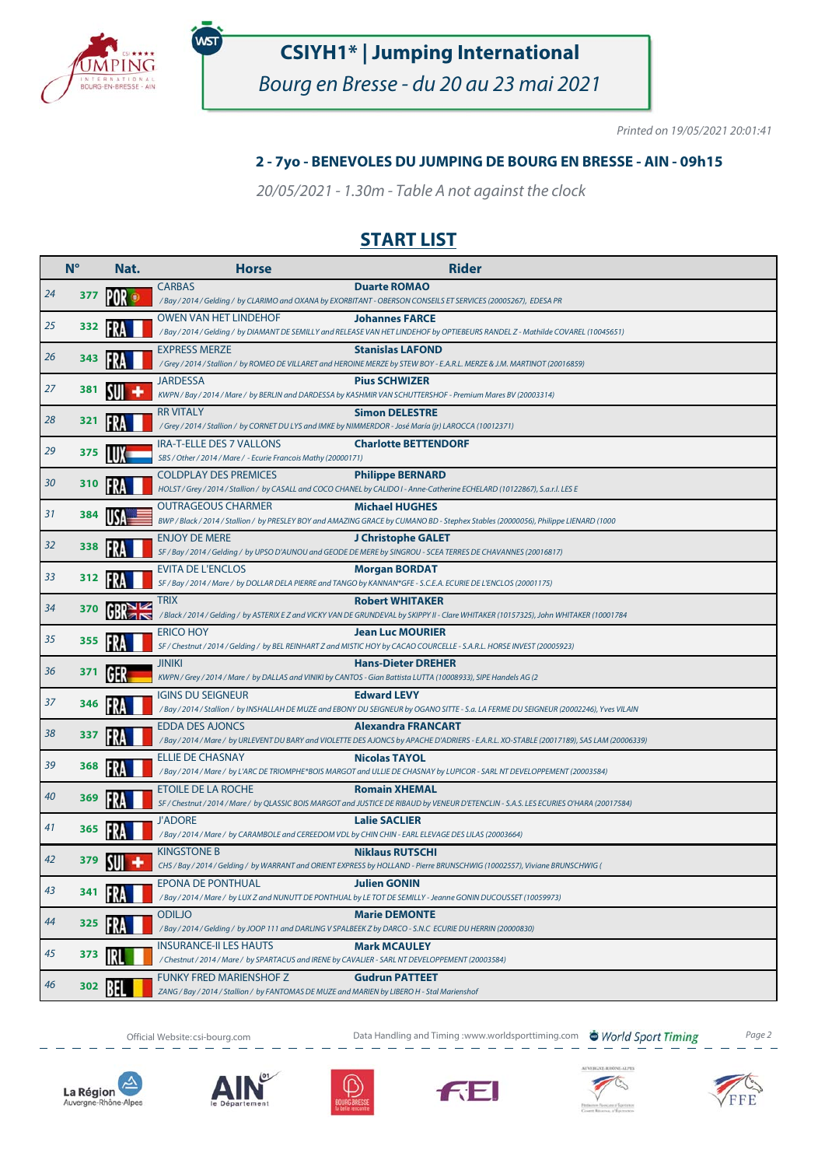

.<br>WST

# **CSIYH1\* | Jumping International**

Bourg en Bresse - du 20 au 23 mai 2021

Printed on 19/05/2021 20:01:41

#### **2 - 7yo - BENEVOLES DU JUMPING DE BOURG EN BRESSE - AIN - 09h15**

20/05/2021 - 1.30m - Table A not against the clock

### **START LIST**

|    | $N^{\circ}$ | Nat. | <b>Horse</b>                                                                                                                      | <b>Rider</b>                                                                                                                                                           |
|----|-------------|------|-----------------------------------------------------------------------------------------------------------------------------------|------------------------------------------------------------------------------------------------------------------------------------------------------------------------|
| 24 | 377         |      | <b>CARBAS</b>                                                                                                                     | <b>Duarte ROMAO</b><br>/Bay / 2014 / Gelding / by CLARIMO and OXANA by EXORBITANT - OBERSON CONSEILS ET SERVICES (20005267), EDESA PR                                  |
| 25 | 332         |      | <b>OWEN VAN HET LINDEHOF</b>                                                                                                      | <b>Johannes FARCE</b><br>/ Bay / 2014 / Gelding / by DIAMANT DE SEMILLY and RELEASE VAN HET LINDEHOF by OPTIEBEURS RANDEL Z-Mathilde COVAREL (10045651)                |
| 26 | 343         |      | <b>EXPRESS MERZE</b>                                                                                                              | <b>Stanislas LAFOND</b><br>/ Grey / 2014 / Stallion / by ROMEO DE VILLARET and HEROINE MERZE by STEW BOY - E.A.R.L. MERZE & J.M. MARTINOT (20016859)                   |
| 27 | 381         |      | <b>JARDESSA</b>                                                                                                                   | <b>Pius SCHWIZER</b><br>KWPN / Bay / 2014 / Mare / by BERLIN and DARDESSA by KASHMIR VAN SCHUTTERSHOF - Premium Mares BV (20003314)                                    |
| 28 | 321         |      | <b>RR VITALY</b><br>/ Grey / 2014 / Stallion / by CORNET DU LYS and IMKE by NIMMERDOR - José María (jr) LAROCCA (10012371)        | <b>Simon DELESTRE</b>                                                                                                                                                  |
| 29 | 375         |      | <b>IRA-T-ELLE DES 7 VALLONS</b><br>SBS / Other / 2014 / Mare / - Ecurie Francois Mathy (20000171)                                 | <b>Charlotte BETTENDORF</b>                                                                                                                                            |
| 30 | 310         |      | <b>COLDPLAY DES PREMICES</b>                                                                                                      | <b>Philippe BERNARD</b><br>HOLST / Grey / 2014 / Stallion / by CASALL and COCO CHANEL by CALIDO I - Anne-Catherine ECHELARD (10122867), S.a.r.l. LES E                 |
| 31 | 384         |      | <b>OUTRAGEOUS CHARMER</b>                                                                                                         | <b>Michael HUGHES</b><br>BWP / Black / 2014 / Stallion / by PRESLEY BOY and AMAZING GRACE by CUMANO BD - Stephex Stables (20000056), Philippe LIENARD (1000            |
| 32 | 338         |      | <b>ENJOY DE MERE</b>                                                                                                              | J Christophe GALET<br>SF / Bay / 2014 / Gelding / by UPSO D'AUNOU and GEODE DE MERE by SINGROU - SCEA TERRES DE CHAVANNES (20016817)                                   |
| 33 | 312         |      | <b>EVITA DE L'ENCLOS</b>                                                                                                          | <b>Morgan BORDAT</b><br>SF / Bay / 2014 / Mare / by DOLLAR DELA PIERRE and TANGO by KANNAN*GFE - S.C.E.A. ECURIE DE L'ENCLOS (20001175)                                |
| 34 | 370         |      | Trix                                                                                                                              | <b>Robert WHITAKER</b><br>/Black/2014/Gelding/ by ASTERIX E Z and VICKY VAN DE GRUNDEVAL by SKIPPY II - Clare WHITAKER (10157325), John WHITAKER (10001784             |
| 35 | 355         |      | <b>ERICO HOY</b>                                                                                                                  | <b>Jean Luc MOURIER</b><br>SF / Chestnut / 2014 / Gelding / by BEL REINHART Z and MISTIC HOY by CACAO COURCELLE - S.A.R.L. HORSE INVEST (20005923)                     |
| 36 | 371         |      | <b>JINIKI</b>                                                                                                                     | <b>Hans-Dieter DREHER</b><br>KWPN / Grey / 2014 / Mare / by DALLAS and VINIKI by CANTOS - Gian Battista LUTTA (10008933), SIPE Handels AG (2                           |
| 37 | 346         |      | <b>IGINS DU SEIGNEUR</b>                                                                                                          | <b>Edward LEVY</b><br>/ Bay / 2014 / Stallion / by INSHALLAH DE MUZE and EBONY DU SEIGNEUR by OGANO SITTE - S.a. LA FERME DU SEIGNEUR (20002246), Yves VILAIN          |
| 38 | 337         |      | <b>EDDA DES AJONCS</b>                                                                                                            | <b>Alexandra FRANCART</b><br>/ Bay / 2014 / Mare / by URLEVENT DU BARY and VIOLETTE DES AJONCS by APACHE D'ADRIERS - E.A.R.L. XO-STABLE (20017189), SAS LAM (20006339) |
| 39 | 368         |      | <b>ELLIE DE CHASNAY</b>                                                                                                           | <b>Nicolas TAYOL</b><br>/Bay / 2014 / Mare / by L'ARC DE TRIOMPHE*BOIS MARGOT and ULLIE DE CHASNAY by LUPICOR - SARL NT DEVELOPPEMENT (20003584)                       |
| 40 | 369         |      | ETOILE DE LA ROCHE                                                                                                                | <b>Romain XHEMAL</b><br>SF / Chestnut / 2014 / Mare / by QLASSIC BOIS MARGOT and JUSTICE DE RIBAUD by VENEUR D'ETENCLIN - S.A.S. LES ECURIES O'HARA (20017584)         |
| 41 | 365         |      | <b>J'ADORE</b><br>/ Bay / 2014 / Mare / by CARAMBOLE and CEREEDOM VDL by CHIN CHIN - EARL ELEVAGE DES LILAS (20003664)            | <b>Lalie SACLIER</b>                                                                                                                                                   |
| 42 | 379         |      | <b>KINGSTONE B</b>                                                                                                                | <b>Niklaus RUTSCHI</b><br>CHS / Bay / 2014 / Gelding / by WARRANT and ORIENT EXPRESS by HOLLAND - Pierre BRUNSCHWIG (10002557), Viviane BRUNSCHWIG (                   |
| 43 |             |      | EPONA DE PONTHUAL                                                                                                                 | <b>Julien GONIN</b><br>/ Bay / 2014 / Mare / by LUX Z and NUNUTT DE PONTHUAL by LE TOT DE SEMILLY - Jeanne GONIN DUCOUSSET (10059973)                                  |
| 44 | 325         |      | <b>ODILJO</b><br>/Bay/2014/Gelding/ by JOOP 111 and DARLING V SPALBEEK Z by DARCO - S.N.C ECURIE DU HERRIN (20000830)             | <b>Marie DEMONTE</b>                                                                                                                                                   |
| 45 | 373         |      | <b>INSURANCE-II LES HAUTS</b><br>/ Chestnut / 2014 / Mare / by SPARTACUS and IRENE by CAVALIER - SARL NT DEVELOPPEMENT (20003584) | <b>Mark MCAULEY</b>                                                                                                                                                    |
| 46 | 302         |      | <b>FUNKY FRED MARIENSHOF Z</b><br>ZANG / Bay / 2014 / Stallion / by FANTOMAS DE MUZE and MARIEN by LIBERO H - Stal Marienshof     | <b>Gudrun PATTEET</b>                                                                                                                                                  |



Official Website: csi-bourg.com **Data Handling and Timing :www.worldsporttiming.com World Sport Timing** Page 2